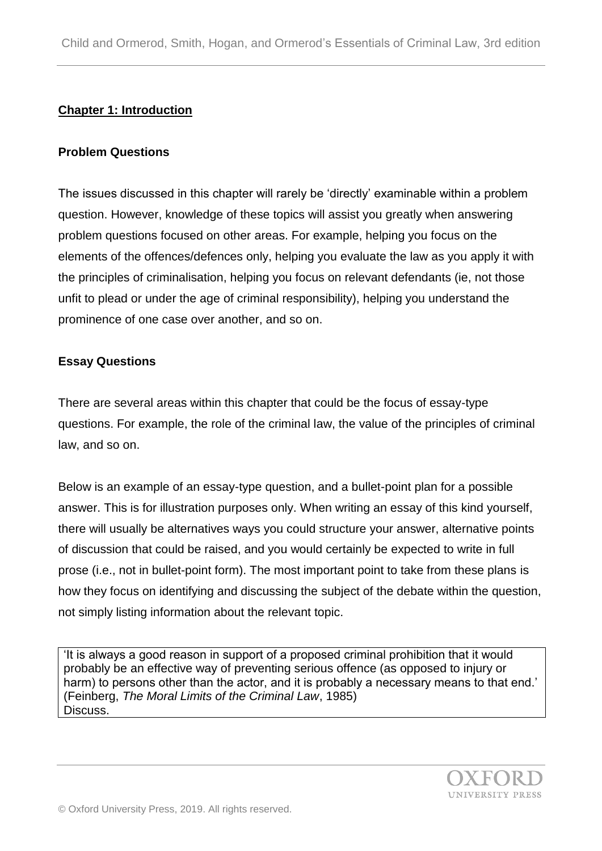# **Chapter 1: Introduction**

#### **Problem Questions**

The issues discussed in this chapter will rarely be 'directly' examinable within a problem question. However, knowledge of these topics will assist you greatly when answering problem questions focused on other areas. For example, helping you focus on the elements of the offences/defences only, helping you evaluate the law as you apply it with the principles of criminalisation, helping you focus on relevant defendants (ie, not those unfit to plead or under the age of criminal responsibility), helping you understand the prominence of one case over another, and so on.

#### **Essay Questions**

There are several areas within this chapter that could be the focus of essay-type questions. For example, the role of the criminal law, the value of the principles of criminal law, and so on.

Below is an example of an essay-type question, and a bullet-point plan for a possible answer. This is for illustration purposes only. When writing an essay of this kind yourself, there will usually be alternatives ways you could structure your answer, alternative points of discussion that could be raised, and you would certainly be expected to write in full prose (i.e., not in bullet-point form). The most important point to take from these plans is how they focus on identifying and discussing the subject of the debate within the question, not simply listing information about the relevant topic.

'It is always a good reason in support of a proposed criminal prohibition that it would probably be an effective way of preventing serious offence (as opposed to injury or harm) to persons other than the actor, and it is probably a necessary means to that end.' (Feinberg, *The Moral Limits of the Criminal Law*, 1985) Discuss.